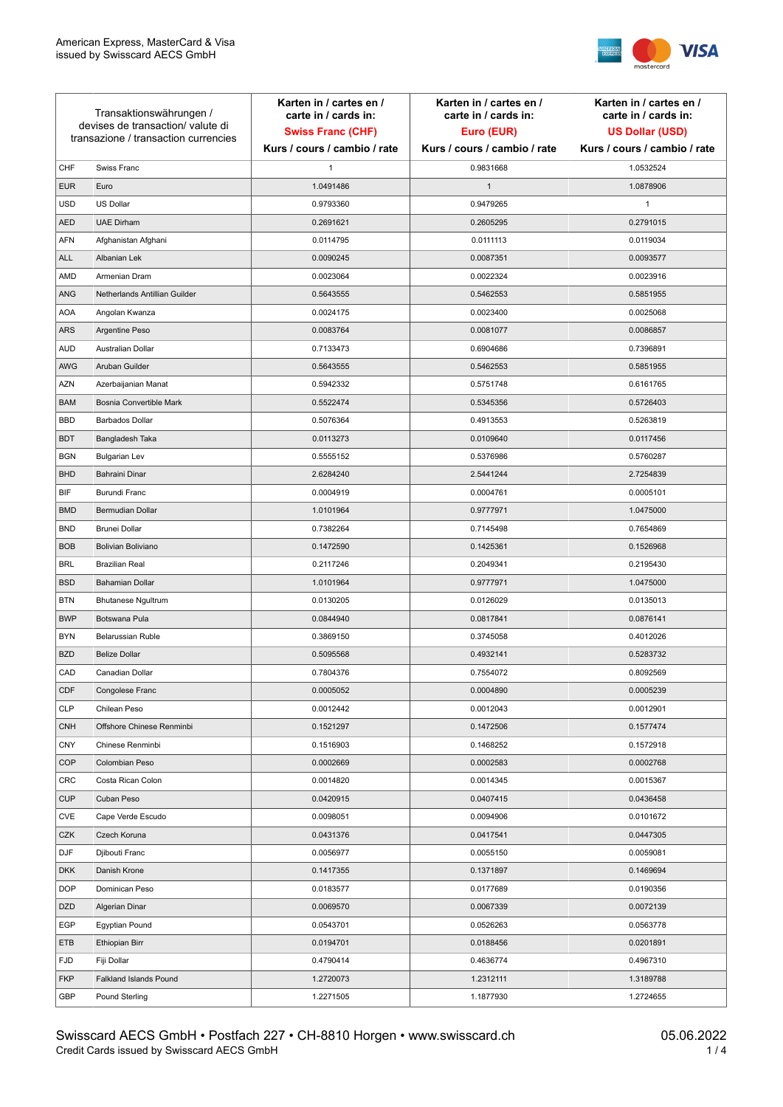

| Transaktionswährungen /<br>devises de transaction/valute di<br>transazione / transaction currencies |                               | Karten in / cartes en /<br>carte in / cards in:<br><b>Swiss Franc (CHF)</b> | Karten in / cartes en /<br>carte in / cards in:<br>Euro (EUR) | Karten in / cartes en /<br>carte in / cards in:<br><b>US Dollar (USD)</b> |
|-----------------------------------------------------------------------------------------------------|-------------------------------|-----------------------------------------------------------------------------|---------------------------------------------------------------|---------------------------------------------------------------------------|
|                                                                                                     |                               | Kurs / cours / cambio / rate                                                | Kurs / cours / cambio / rate                                  | Kurs / cours / cambio / rate                                              |
| CHF                                                                                                 | Swiss Franc                   | $\mathbf{1}$                                                                | 0.9831668                                                     | 1.0532524                                                                 |
| <b>EUR</b>                                                                                          | Euro                          | 1.0491486                                                                   | $\mathbf{1}$                                                  | 1.0878906                                                                 |
| <b>USD</b>                                                                                          | <b>US Dollar</b>              | 0.9793360                                                                   | 0.9479265                                                     | 1                                                                         |
| <b>AED</b>                                                                                          | <b>UAE Dirham</b>             | 0.2691621                                                                   | 0.2605295                                                     | 0.2791015                                                                 |
| <b>AFN</b>                                                                                          | Afghanistan Afghani           | 0.0114795                                                                   | 0.0111113                                                     | 0.0119034                                                                 |
| <b>ALL</b>                                                                                          | Albanian Lek                  | 0.0090245                                                                   | 0.0087351                                                     | 0.0093577                                                                 |
| AMD                                                                                                 | Armenian Dram                 | 0.0023064                                                                   | 0.0022324                                                     | 0.0023916                                                                 |
| ANG                                                                                                 | Netherlands Antillian Guilder | 0.5643555                                                                   | 0.5462553                                                     | 0.5851955                                                                 |
| <b>AOA</b>                                                                                          | Angolan Kwanza                | 0.0024175                                                                   | 0.0023400                                                     | 0.0025068                                                                 |
| ARS                                                                                                 | Argentine Peso                | 0.0083764                                                                   | 0.0081077                                                     | 0.0086857                                                                 |
| <b>AUD</b>                                                                                          | Australian Dollar             | 0.7133473                                                                   | 0.6904686                                                     | 0.7396891                                                                 |
| AWG                                                                                                 | Aruban Guilder                | 0.5643555                                                                   | 0.5462553                                                     | 0.5851955                                                                 |
| <b>AZN</b>                                                                                          | Azerbaijanian Manat           | 0.5942332                                                                   | 0.5751748                                                     | 0.6161765                                                                 |
| <b>BAM</b>                                                                                          | Bosnia Convertible Mark       | 0.5522474                                                                   | 0.5345356                                                     | 0.5726403                                                                 |
| <b>BBD</b>                                                                                          | <b>Barbados Dollar</b>        | 0.5076364                                                                   | 0.4913553                                                     | 0.5263819                                                                 |
| <b>BDT</b>                                                                                          | Bangladesh Taka               | 0.0113273                                                                   | 0.0109640                                                     | 0.0117456                                                                 |
| <b>BGN</b>                                                                                          | <b>Bulgarian Lev</b>          | 0.5555152                                                                   | 0.5376986                                                     | 0.5760287                                                                 |
| <b>BHD</b>                                                                                          | Bahraini Dinar                | 2.6284240                                                                   | 2.5441244                                                     | 2.7254839                                                                 |
| BIF                                                                                                 | Burundi Franc                 | 0.0004919                                                                   | 0.0004761                                                     | 0.0005101                                                                 |
| <b>BMD</b>                                                                                          | Bermudian Dollar              | 1.0101964                                                                   | 0.9777971                                                     | 1.0475000                                                                 |
| <b>BND</b>                                                                                          | <b>Brunei Dollar</b>          | 0.7382264                                                                   | 0.7145498                                                     | 0.7654869                                                                 |
| <b>BOB</b>                                                                                          | Bolivian Boliviano            | 0.1472590                                                                   | 0.1425361                                                     | 0.1526968                                                                 |
| <b>BRL</b>                                                                                          | <b>Brazilian Real</b>         | 0.2117246                                                                   | 0.2049341                                                     | 0.2195430                                                                 |
| <b>BSD</b>                                                                                          | <b>Bahamian Dollar</b>        | 1.0101964                                                                   | 0.9777971                                                     | 1.0475000                                                                 |
| <b>BTN</b>                                                                                          | <b>Bhutanese Ngultrum</b>     | 0.0130205                                                                   | 0.0126029                                                     | 0.0135013                                                                 |
| <b>BWP</b>                                                                                          | Botswana Pula                 | 0.0844940                                                                   | 0.0817841                                                     | 0.0876141                                                                 |
| <b>BYN</b>                                                                                          | Belarussian Ruble             | 0.3869150                                                                   | 0.3745058                                                     | 0.4012026                                                                 |
| <b>BZD</b>                                                                                          | <b>Belize Dollar</b>          | 0.5095568                                                                   | 0.4932141                                                     | 0.5283732                                                                 |
| CAD                                                                                                 | Canadian Dollar               | 0.7804376                                                                   | 0.7554072                                                     | 0.8092569                                                                 |
| CDF                                                                                                 | Congolese Franc               | 0.0005052                                                                   | 0.0004890                                                     | 0.0005239                                                                 |
| <b>CLP</b>                                                                                          | Chilean Peso                  | 0.0012442                                                                   | 0.0012043                                                     | 0.0012901                                                                 |
| <b>CNH</b>                                                                                          | Offshore Chinese Renminbi     | 0.1521297                                                                   | 0.1472506                                                     | 0.1577474                                                                 |
| <b>CNY</b>                                                                                          | Chinese Renminbi              | 0.1516903                                                                   | 0.1468252                                                     | 0.1572918                                                                 |
| <b>COP</b>                                                                                          | Colombian Peso                | 0.0002669                                                                   | 0.0002583                                                     | 0.0002768                                                                 |
| CRC                                                                                                 | Costa Rican Colon             | 0.0014820                                                                   | 0.0014345                                                     | 0.0015367                                                                 |
| <b>CUP</b>                                                                                          | Cuban Peso                    | 0.0420915                                                                   | 0.0407415                                                     | 0.0436458                                                                 |
| CVE                                                                                                 | Cape Verde Escudo             | 0.0098051                                                                   | 0.0094906                                                     | 0.0101672                                                                 |
| CZK                                                                                                 | Czech Koruna                  | 0.0431376                                                                   | 0.0417541                                                     | 0.0447305                                                                 |
| <b>DJF</b>                                                                                          | Djibouti Franc                | 0.0056977                                                                   | 0.0055150                                                     | 0.0059081                                                                 |
| <b>DKK</b>                                                                                          | Danish Krone                  | 0.1417355                                                                   | 0.1371897                                                     | 0.1469694                                                                 |
| <b>DOP</b>                                                                                          | Dominican Peso                | 0.0183577                                                                   | 0.0177689                                                     | 0.0190356                                                                 |
| <b>DZD</b>                                                                                          | Algerian Dinar                | 0.0069570                                                                   | 0.0067339                                                     | 0.0072139                                                                 |
| EGP                                                                                                 | Egyptian Pound                | 0.0543701                                                                   | 0.0526263                                                     | 0.0563778                                                                 |
| ETB                                                                                                 | Ethiopian Birr                | 0.0194701                                                                   | 0.0188456                                                     | 0.0201891                                                                 |
| <b>FJD</b>                                                                                          | Fiji Dollar                   | 0.4790414                                                                   | 0.4636774                                                     | 0.4967310                                                                 |
| <b>FKP</b>                                                                                          | Falkland Islands Pound        | 1.2720073                                                                   | 1.2312111                                                     | 1.3189788                                                                 |
| GBP                                                                                                 | Pound Sterling                | 1.2271505                                                                   | 1.1877930                                                     | 1.2724655                                                                 |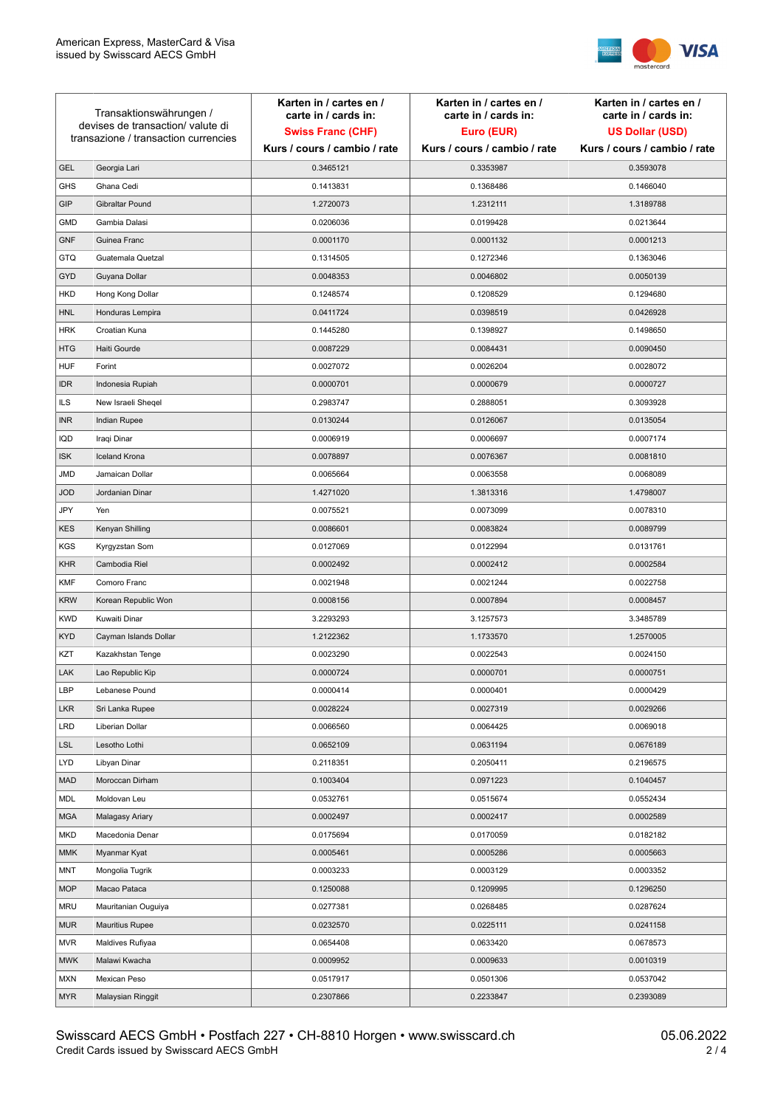

| devises de transaction/valute di<br><b>Swiss Franc (CHF)</b><br>Euro (EUR)<br><b>US Dollar (USD)</b><br>transazione / transaction currencies<br>Kurs / cours / cambio / rate<br>Kurs / cours / cambio / rate<br>Kurs / cours / cambio / rate<br>Georgia Lari<br>0.3465121<br>0.3353987<br><b>GEL</b><br>0.3593078<br><b>GHS</b><br>Ghana Cedi<br>0.1413831<br>0.1368486<br>0.1466040<br>GIP<br>Gibraltar Pound<br>1.2720073<br>1.2312111<br>1.3189788<br>Gambia Dalasi<br>0.0206036<br>0.0199428<br><b>GMD</b><br>0.0213644<br><b>GNF</b><br>Guinea Franc<br>0.0001170<br>0.0001132<br>0.0001213<br><b>GTQ</b><br>Guatemala Quetzal<br>0.1314505<br>0.1272346<br>0.1363046<br>GYD<br>Guyana Dollar<br>0.0048353<br>0.0046802<br>0.0050139<br>HKD<br>Hong Kong Dollar<br>0.1248574<br>0.1208529<br>0.1294680<br>0.0411724<br>0.0398519<br>0.0426928<br><b>HNL</b><br>Honduras Lempira<br><b>HRK</b><br>Croatian Kuna<br>0.1445280<br>0.1398927<br>0.1498650<br><b>HTG</b><br>Haiti Gourde<br>0.0087229<br>0.0084431<br>0.0090450<br><b>HUF</b><br>Forint<br>0.0027072<br>0.0026204<br>0.0028072<br><b>IDR</b><br>0.0000701<br>0.0000679<br>0.0000727<br>Indonesia Rupiah<br><b>ILS</b><br>New Israeli Sheqel<br>0.2983747<br>0.2888051<br>0.3093928<br><b>INR</b><br>Indian Rupee<br>0.0130244<br>0.0126067<br>0.0135054<br>IQD<br>Iraqi Dinar<br>0.0006919<br>0.0006697<br>0.0007174<br><b>Iceland Krona</b><br><b>ISK</b><br>0.0078897<br>0.0076367<br>0.0081810<br><b>JMD</b><br>Jamaican Dollar<br>0.0065664<br>0.0063558<br>0.0068089<br><b>JOD</b><br>Jordanian Dinar<br>1.4271020<br>1.3813316<br>1.4798007<br>JPY<br>Yen<br>0.0075521<br>0.0073099<br>0.0078310<br><b>KES</b><br>Kenyan Shilling<br>0.0086601<br>0.0083824<br>0.0089799<br><b>KGS</b><br>Kyrgyzstan Som<br>0.0127069<br>0.0122994<br>0.0131761<br><b>KHR</b><br>Cambodia Riel<br>0.0002492<br>0.0002412<br>0.0002584<br><b>KMF</b><br>Comoro Franc<br>0.0021948<br>0.0021244<br>0.0022758<br><b>KRW</b><br>Korean Republic Won<br>0.0008156<br>0.0007894<br>0.0008457<br><b>KWD</b><br>Kuwaiti Dinar<br>3.2293293<br>3.1257573<br>3.3485789<br><b>KYD</b><br>Cayman Islands Dollar<br>1.2122362<br>1.1733570<br>1.2570005<br>KZT<br>0.0023290<br>0.0022543<br>0.0024150<br>Kazakhstan Tenge<br>LAK<br>Lao Republic Kip<br>0.0000724<br>0.0000701<br>0.0000751<br>LBP<br>0.0000401<br>0.0000429<br>0.0000414<br>Lebanese Pound<br><b>LKR</b><br>0.0028224<br>0.0027319<br>Sri Lanka Rupee<br>0.0029266<br><b>LRD</b><br>0.0066560<br>Liberian Dollar<br>0.0064425<br>0.0069018<br><b>LSL</b><br>0.0652109<br>0.0631194<br>Lesotho Lothi<br>0.0676189<br>LYD<br>Libyan Dinar<br>0.2118351<br>0.2050411<br>0.2196575<br><b>MAD</b><br>Moroccan Dirham<br>0.1003404<br>0.0971223<br>0.1040457<br>MDL<br>Moldovan Leu<br>0.0532761<br>0.0515674<br>0.0552434<br><b>MGA</b><br>Malagasy Ariary<br>0.0002497<br>0.0002417<br>0.0002589<br>0.0170059<br>MKD<br>Macedonia Denar<br>0.0175694<br>0.0182182<br><b>MMK</b><br>Myanmar Kyat<br>0.0005461<br>0.0005286<br>0.0005663<br><b>MNT</b><br>Mongolia Tugrik<br>0.0003233<br>0.0003129<br>0.0003352<br><b>MOP</b><br>Macao Pataca<br>0.1250088<br>0.1209995<br>0.1296250<br><b>MRU</b><br>Mauritanian Ouguiya<br>0.0277381<br>0.0268485<br>0.0287624<br><b>MUR</b><br>0.0232570<br>0.0225111<br><b>Mauritius Rupee</b><br>0.0241158<br><b>MVR</b><br>0.0633420<br>0.0678573<br>Maldives Rufiyaa<br>0.0654408<br><b>MWK</b><br>0.0009952<br>0.0009633<br>0.0010319<br>Malawi Kwacha<br>0.0517917<br>0.0501306<br>0.0537042<br><b>MXN</b><br>Mexican Peso<br><b>MYR</b><br>Malaysian Ringgit<br>0.2307866<br>0.2233847<br>0.2393089 | Transaktionswährungen / |  | Karten in / cartes en /<br>carte in / cards in: | Karten in / cartes en /<br>carte in / cards in: | Karten in / cartes en /<br>carte in / cards in: |
|----------------------------------------------------------------------------------------------------------------------------------------------------------------------------------------------------------------------------------------------------------------------------------------------------------------------------------------------------------------------------------------------------------------------------------------------------------------------------------------------------------------------------------------------------------------------------------------------------------------------------------------------------------------------------------------------------------------------------------------------------------------------------------------------------------------------------------------------------------------------------------------------------------------------------------------------------------------------------------------------------------------------------------------------------------------------------------------------------------------------------------------------------------------------------------------------------------------------------------------------------------------------------------------------------------------------------------------------------------------------------------------------------------------------------------------------------------------------------------------------------------------------------------------------------------------------------------------------------------------------------------------------------------------------------------------------------------------------------------------------------------------------------------------------------------------------------------------------------------------------------------------------------------------------------------------------------------------------------------------------------------------------------------------------------------------------------------------------------------------------------------------------------------------------------------------------------------------------------------------------------------------------------------------------------------------------------------------------------------------------------------------------------------------------------------------------------------------------------------------------------------------------------------------------------------------------------------------------------------------------------------------------------------------------------------------------------------------------------------------------------------------------------------------------------------------------------------------------------------------------------------------------------------------------------------------------------------------------------------------------------------------------------------------------------------------------------------------------------------------------------------------------------------------------------------------------------------------------------------------------------------------------------------------------------------------------------------------------------------------------------------------------------------------------------------------------------------------------------------------------------------------------------------------------------------------------------------------------------------------------------------------------------|-------------------------|--|-------------------------------------------------|-------------------------------------------------|-------------------------------------------------|
|                                                                                                                                                                                                                                                                                                                                                                                                                                                                                                                                                                                                                                                                                                                                                                                                                                                                                                                                                                                                                                                                                                                                                                                                                                                                                                                                                                                                                                                                                                                                                                                                                                                                                                                                                                                                                                                                                                                                                                                                                                                                                                                                                                                                                                                                                                                                                                                                                                                                                                                                                                                                                                                                                                                                                                                                                                                                                                                                                                                                                                                                                                                                                                                                                                                                                                                                                                                                                                                                                                                                                                                                                                                    |                         |  |                                                 |                                                 |                                                 |
|                                                                                                                                                                                                                                                                                                                                                                                                                                                                                                                                                                                                                                                                                                                                                                                                                                                                                                                                                                                                                                                                                                                                                                                                                                                                                                                                                                                                                                                                                                                                                                                                                                                                                                                                                                                                                                                                                                                                                                                                                                                                                                                                                                                                                                                                                                                                                                                                                                                                                                                                                                                                                                                                                                                                                                                                                                                                                                                                                                                                                                                                                                                                                                                                                                                                                                                                                                                                                                                                                                                                                                                                                                                    |                         |  |                                                 |                                                 |                                                 |
|                                                                                                                                                                                                                                                                                                                                                                                                                                                                                                                                                                                                                                                                                                                                                                                                                                                                                                                                                                                                                                                                                                                                                                                                                                                                                                                                                                                                                                                                                                                                                                                                                                                                                                                                                                                                                                                                                                                                                                                                                                                                                                                                                                                                                                                                                                                                                                                                                                                                                                                                                                                                                                                                                                                                                                                                                                                                                                                                                                                                                                                                                                                                                                                                                                                                                                                                                                                                                                                                                                                                                                                                                                                    |                         |  |                                                 |                                                 |                                                 |
|                                                                                                                                                                                                                                                                                                                                                                                                                                                                                                                                                                                                                                                                                                                                                                                                                                                                                                                                                                                                                                                                                                                                                                                                                                                                                                                                                                                                                                                                                                                                                                                                                                                                                                                                                                                                                                                                                                                                                                                                                                                                                                                                                                                                                                                                                                                                                                                                                                                                                                                                                                                                                                                                                                                                                                                                                                                                                                                                                                                                                                                                                                                                                                                                                                                                                                                                                                                                                                                                                                                                                                                                                                                    |                         |  |                                                 |                                                 |                                                 |
|                                                                                                                                                                                                                                                                                                                                                                                                                                                                                                                                                                                                                                                                                                                                                                                                                                                                                                                                                                                                                                                                                                                                                                                                                                                                                                                                                                                                                                                                                                                                                                                                                                                                                                                                                                                                                                                                                                                                                                                                                                                                                                                                                                                                                                                                                                                                                                                                                                                                                                                                                                                                                                                                                                                                                                                                                                                                                                                                                                                                                                                                                                                                                                                                                                                                                                                                                                                                                                                                                                                                                                                                                                                    |                         |  |                                                 |                                                 |                                                 |
|                                                                                                                                                                                                                                                                                                                                                                                                                                                                                                                                                                                                                                                                                                                                                                                                                                                                                                                                                                                                                                                                                                                                                                                                                                                                                                                                                                                                                                                                                                                                                                                                                                                                                                                                                                                                                                                                                                                                                                                                                                                                                                                                                                                                                                                                                                                                                                                                                                                                                                                                                                                                                                                                                                                                                                                                                                                                                                                                                                                                                                                                                                                                                                                                                                                                                                                                                                                                                                                                                                                                                                                                                                                    |                         |  |                                                 |                                                 |                                                 |
|                                                                                                                                                                                                                                                                                                                                                                                                                                                                                                                                                                                                                                                                                                                                                                                                                                                                                                                                                                                                                                                                                                                                                                                                                                                                                                                                                                                                                                                                                                                                                                                                                                                                                                                                                                                                                                                                                                                                                                                                                                                                                                                                                                                                                                                                                                                                                                                                                                                                                                                                                                                                                                                                                                                                                                                                                                                                                                                                                                                                                                                                                                                                                                                                                                                                                                                                                                                                                                                                                                                                                                                                                                                    |                         |  |                                                 |                                                 |                                                 |
|                                                                                                                                                                                                                                                                                                                                                                                                                                                                                                                                                                                                                                                                                                                                                                                                                                                                                                                                                                                                                                                                                                                                                                                                                                                                                                                                                                                                                                                                                                                                                                                                                                                                                                                                                                                                                                                                                                                                                                                                                                                                                                                                                                                                                                                                                                                                                                                                                                                                                                                                                                                                                                                                                                                                                                                                                                                                                                                                                                                                                                                                                                                                                                                                                                                                                                                                                                                                                                                                                                                                                                                                                                                    |                         |  |                                                 |                                                 |                                                 |
|                                                                                                                                                                                                                                                                                                                                                                                                                                                                                                                                                                                                                                                                                                                                                                                                                                                                                                                                                                                                                                                                                                                                                                                                                                                                                                                                                                                                                                                                                                                                                                                                                                                                                                                                                                                                                                                                                                                                                                                                                                                                                                                                                                                                                                                                                                                                                                                                                                                                                                                                                                                                                                                                                                                                                                                                                                                                                                                                                                                                                                                                                                                                                                                                                                                                                                                                                                                                                                                                                                                                                                                                                                                    |                         |  |                                                 |                                                 |                                                 |
|                                                                                                                                                                                                                                                                                                                                                                                                                                                                                                                                                                                                                                                                                                                                                                                                                                                                                                                                                                                                                                                                                                                                                                                                                                                                                                                                                                                                                                                                                                                                                                                                                                                                                                                                                                                                                                                                                                                                                                                                                                                                                                                                                                                                                                                                                                                                                                                                                                                                                                                                                                                                                                                                                                                                                                                                                                                                                                                                                                                                                                                                                                                                                                                                                                                                                                                                                                                                                                                                                                                                                                                                                                                    |                         |  |                                                 |                                                 |                                                 |
|                                                                                                                                                                                                                                                                                                                                                                                                                                                                                                                                                                                                                                                                                                                                                                                                                                                                                                                                                                                                                                                                                                                                                                                                                                                                                                                                                                                                                                                                                                                                                                                                                                                                                                                                                                                                                                                                                                                                                                                                                                                                                                                                                                                                                                                                                                                                                                                                                                                                                                                                                                                                                                                                                                                                                                                                                                                                                                                                                                                                                                                                                                                                                                                                                                                                                                                                                                                                                                                                                                                                                                                                                                                    |                         |  |                                                 |                                                 |                                                 |
|                                                                                                                                                                                                                                                                                                                                                                                                                                                                                                                                                                                                                                                                                                                                                                                                                                                                                                                                                                                                                                                                                                                                                                                                                                                                                                                                                                                                                                                                                                                                                                                                                                                                                                                                                                                                                                                                                                                                                                                                                                                                                                                                                                                                                                                                                                                                                                                                                                                                                                                                                                                                                                                                                                                                                                                                                                                                                                                                                                                                                                                                                                                                                                                                                                                                                                                                                                                                                                                                                                                                                                                                                                                    |                         |  |                                                 |                                                 |                                                 |
|                                                                                                                                                                                                                                                                                                                                                                                                                                                                                                                                                                                                                                                                                                                                                                                                                                                                                                                                                                                                                                                                                                                                                                                                                                                                                                                                                                                                                                                                                                                                                                                                                                                                                                                                                                                                                                                                                                                                                                                                                                                                                                                                                                                                                                                                                                                                                                                                                                                                                                                                                                                                                                                                                                                                                                                                                                                                                                                                                                                                                                                                                                                                                                                                                                                                                                                                                                                                                                                                                                                                                                                                                                                    |                         |  |                                                 |                                                 |                                                 |
|                                                                                                                                                                                                                                                                                                                                                                                                                                                                                                                                                                                                                                                                                                                                                                                                                                                                                                                                                                                                                                                                                                                                                                                                                                                                                                                                                                                                                                                                                                                                                                                                                                                                                                                                                                                                                                                                                                                                                                                                                                                                                                                                                                                                                                                                                                                                                                                                                                                                                                                                                                                                                                                                                                                                                                                                                                                                                                                                                                                                                                                                                                                                                                                                                                                                                                                                                                                                                                                                                                                                                                                                                                                    |                         |  |                                                 |                                                 |                                                 |
|                                                                                                                                                                                                                                                                                                                                                                                                                                                                                                                                                                                                                                                                                                                                                                                                                                                                                                                                                                                                                                                                                                                                                                                                                                                                                                                                                                                                                                                                                                                                                                                                                                                                                                                                                                                                                                                                                                                                                                                                                                                                                                                                                                                                                                                                                                                                                                                                                                                                                                                                                                                                                                                                                                                                                                                                                                                                                                                                                                                                                                                                                                                                                                                                                                                                                                                                                                                                                                                                                                                                                                                                                                                    |                         |  |                                                 |                                                 |                                                 |
|                                                                                                                                                                                                                                                                                                                                                                                                                                                                                                                                                                                                                                                                                                                                                                                                                                                                                                                                                                                                                                                                                                                                                                                                                                                                                                                                                                                                                                                                                                                                                                                                                                                                                                                                                                                                                                                                                                                                                                                                                                                                                                                                                                                                                                                                                                                                                                                                                                                                                                                                                                                                                                                                                                                                                                                                                                                                                                                                                                                                                                                                                                                                                                                                                                                                                                                                                                                                                                                                                                                                                                                                                                                    |                         |  |                                                 |                                                 |                                                 |
|                                                                                                                                                                                                                                                                                                                                                                                                                                                                                                                                                                                                                                                                                                                                                                                                                                                                                                                                                                                                                                                                                                                                                                                                                                                                                                                                                                                                                                                                                                                                                                                                                                                                                                                                                                                                                                                                                                                                                                                                                                                                                                                                                                                                                                                                                                                                                                                                                                                                                                                                                                                                                                                                                                                                                                                                                                                                                                                                                                                                                                                                                                                                                                                                                                                                                                                                                                                                                                                                                                                                                                                                                                                    |                         |  |                                                 |                                                 |                                                 |
|                                                                                                                                                                                                                                                                                                                                                                                                                                                                                                                                                                                                                                                                                                                                                                                                                                                                                                                                                                                                                                                                                                                                                                                                                                                                                                                                                                                                                                                                                                                                                                                                                                                                                                                                                                                                                                                                                                                                                                                                                                                                                                                                                                                                                                                                                                                                                                                                                                                                                                                                                                                                                                                                                                                                                                                                                                                                                                                                                                                                                                                                                                                                                                                                                                                                                                                                                                                                                                                                                                                                                                                                                                                    |                         |  |                                                 |                                                 |                                                 |
|                                                                                                                                                                                                                                                                                                                                                                                                                                                                                                                                                                                                                                                                                                                                                                                                                                                                                                                                                                                                                                                                                                                                                                                                                                                                                                                                                                                                                                                                                                                                                                                                                                                                                                                                                                                                                                                                                                                                                                                                                                                                                                                                                                                                                                                                                                                                                                                                                                                                                                                                                                                                                                                                                                                                                                                                                                                                                                                                                                                                                                                                                                                                                                                                                                                                                                                                                                                                                                                                                                                                                                                                                                                    |                         |  |                                                 |                                                 |                                                 |
|                                                                                                                                                                                                                                                                                                                                                                                                                                                                                                                                                                                                                                                                                                                                                                                                                                                                                                                                                                                                                                                                                                                                                                                                                                                                                                                                                                                                                                                                                                                                                                                                                                                                                                                                                                                                                                                                                                                                                                                                                                                                                                                                                                                                                                                                                                                                                                                                                                                                                                                                                                                                                                                                                                                                                                                                                                                                                                                                                                                                                                                                                                                                                                                                                                                                                                                                                                                                                                                                                                                                                                                                                                                    |                         |  |                                                 |                                                 |                                                 |
|                                                                                                                                                                                                                                                                                                                                                                                                                                                                                                                                                                                                                                                                                                                                                                                                                                                                                                                                                                                                                                                                                                                                                                                                                                                                                                                                                                                                                                                                                                                                                                                                                                                                                                                                                                                                                                                                                                                                                                                                                                                                                                                                                                                                                                                                                                                                                                                                                                                                                                                                                                                                                                                                                                                                                                                                                                                                                                                                                                                                                                                                                                                                                                                                                                                                                                                                                                                                                                                                                                                                                                                                                                                    |                         |  |                                                 |                                                 |                                                 |
|                                                                                                                                                                                                                                                                                                                                                                                                                                                                                                                                                                                                                                                                                                                                                                                                                                                                                                                                                                                                                                                                                                                                                                                                                                                                                                                                                                                                                                                                                                                                                                                                                                                                                                                                                                                                                                                                                                                                                                                                                                                                                                                                                                                                                                                                                                                                                                                                                                                                                                                                                                                                                                                                                                                                                                                                                                                                                                                                                                                                                                                                                                                                                                                                                                                                                                                                                                                                                                                                                                                                                                                                                                                    |                         |  |                                                 |                                                 |                                                 |
|                                                                                                                                                                                                                                                                                                                                                                                                                                                                                                                                                                                                                                                                                                                                                                                                                                                                                                                                                                                                                                                                                                                                                                                                                                                                                                                                                                                                                                                                                                                                                                                                                                                                                                                                                                                                                                                                                                                                                                                                                                                                                                                                                                                                                                                                                                                                                                                                                                                                                                                                                                                                                                                                                                                                                                                                                                                                                                                                                                                                                                                                                                                                                                                                                                                                                                                                                                                                                                                                                                                                                                                                                                                    |                         |  |                                                 |                                                 |                                                 |
|                                                                                                                                                                                                                                                                                                                                                                                                                                                                                                                                                                                                                                                                                                                                                                                                                                                                                                                                                                                                                                                                                                                                                                                                                                                                                                                                                                                                                                                                                                                                                                                                                                                                                                                                                                                                                                                                                                                                                                                                                                                                                                                                                                                                                                                                                                                                                                                                                                                                                                                                                                                                                                                                                                                                                                                                                                                                                                                                                                                                                                                                                                                                                                                                                                                                                                                                                                                                                                                                                                                                                                                                                                                    |                         |  |                                                 |                                                 |                                                 |
|                                                                                                                                                                                                                                                                                                                                                                                                                                                                                                                                                                                                                                                                                                                                                                                                                                                                                                                                                                                                                                                                                                                                                                                                                                                                                                                                                                                                                                                                                                                                                                                                                                                                                                                                                                                                                                                                                                                                                                                                                                                                                                                                                                                                                                                                                                                                                                                                                                                                                                                                                                                                                                                                                                                                                                                                                                                                                                                                                                                                                                                                                                                                                                                                                                                                                                                                                                                                                                                                                                                                                                                                                                                    |                         |  |                                                 |                                                 |                                                 |
|                                                                                                                                                                                                                                                                                                                                                                                                                                                                                                                                                                                                                                                                                                                                                                                                                                                                                                                                                                                                                                                                                                                                                                                                                                                                                                                                                                                                                                                                                                                                                                                                                                                                                                                                                                                                                                                                                                                                                                                                                                                                                                                                                                                                                                                                                                                                                                                                                                                                                                                                                                                                                                                                                                                                                                                                                                                                                                                                                                                                                                                                                                                                                                                                                                                                                                                                                                                                                                                                                                                                                                                                                                                    |                         |  |                                                 |                                                 |                                                 |
|                                                                                                                                                                                                                                                                                                                                                                                                                                                                                                                                                                                                                                                                                                                                                                                                                                                                                                                                                                                                                                                                                                                                                                                                                                                                                                                                                                                                                                                                                                                                                                                                                                                                                                                                                                                                                                                                                                                                                                                                                                                                                                                                                                                                                                                                                                                                                                                                                                                                                                                                                                                                                                                                                                                                                                                                                                                                                                                                                                                                                                                                                                                                                                                                                                                                                                                                                                                                                                                                                                                                                                                                                                                    |                         |  |                                                 |                                                 |                                                 |
|                                                                                                                                                                                                                                                                                                                                                                                                                                                                                                                                                                                                                                                                                                                                                                                                                                                                                                                                                                                                                                                                                                                                                                                                                                                                                                                                                                                                                                                                                                                                                                                                                                                                                                                                                                                                                                                                                                                                                                                                                                                                                                                                                                                                                                                                                                                                                                                                                                                                                                                                                                                                                                                                                                                                                                                                                                                                                                                                                                                                                                                                                                                                                                                                                                                                                                                                                                                                                                                                                                                                                                                                                                                    |                         |  |                                                 |                                                 |                                                 |
|                                                                                                                                                                                                                                                                                                                                                                                                                                                                                                                                                                                                                                                                                                                                                                                                                                                                                                                                                                                                                                                                                                                                                                                                                                                                                                                                                                                                                                                                                                                                                                                                                                                                                                                                                                                                                                                                                                                                                                                                                                                                                                                                                                                                                                                                                                                                                                                                                                                                                                                                                                                                                                                                                                                                                                                                                                                                                                                                                                                                                                                                                                                                                                                                                                                                                                                                                                                                                                                                                                                                                                                                                                                    |                         |  |                                                 |                                                 |                                                 |
|                                                                                                                                                                                                                                                                                                                                                                                                                                                                                                                                                                                                                                                                                                                                                                                                                                                                                                                                                                                                                                                                                                                                                                                                                                                                                                                                                                                                                                                                                                                                                                                                                                                                                                                                                                                                                                                                                                                                                                                                                                                                                                                                                                                                                                                                                                                                                                                                                                                                                                                                                                                                                                                                                                                                                                                                                                                                                                                                                                                                                                                                                                                                                                                                                                                                                                                                                                                                                                                                                                                                                                                                                                                    |                         |  |                                                 |                                                 |                                                 |
|                                                                                                                                                                                                                                                                                                                                                                                                                                                                                                                                                                                                                                                                                                                                                                                                                                                                                                                                                                                                                                                                                                                                                                                                                                                                                                                                                                                                                                                                                                                                                                                                                                                                                                                                                                                                                                                                                                                                                                                                                                                                                                                                                                                                                                                                                                                                                                                                                                                                                                                                                                                                                                                                                                                                                                                                                                                                                                                                                                                                                                                                                                                                                                                                                                                                                                                                                                                                                                                                                                                                                                                                                                                    |                         |  |                                                 |                                                 |                                                 |
|                                                                                                                                                                                                                                                                                                                                                                                                                                                                                                                                                                                                                                                                                                                                                                                                                                                                                                                                                                                                                                                                                                                                                                                                                                                                                                                                                                                                                                                                                                                                                                                                                                                                                                                                                                                                                                                                                                                                                                                                                                                                                                                                                                                                                                                                                                                                                                                                                                                                                                                                                                                                                                                                                                                                                                                                                                                                                                                                                                                                                                                                                                                                                                                                                                                                                                                                                                                                                                                                                                                                                                                                                                                    |                         |  |                                                 |                                                 |                                                 |
|                                                                                                                                                                                                                                                                                                                                                                                                                                                                                                                                                                                                                                                                                                                                                                                                                                                                                                                                                                                                                                                                                                                                                                                                                                                                                                                                                                                                                                                                                                                                                                                                                                                                                                                                                                                                                                                                                                                                                                                                                                                                                                                                                                                                                                                                                                                                                                                                                                                                                                                                                                                                                                                                                                                                                                                                                                                                                                                                                                                                                                                                                                                                                                                                                                                                                                                                                                                                                                                                                                                                                                                                                                                    |                         |  |                                                 |                                                 |                                                 |
|                                                                                                                                                                                                                                                                                                                                                                                                                                                                                                                                                                                                                                                                                                                                                                                                                                                                                                                                                                                                                                                                                                                                                                                                                                                                                                                                                                                                                                                                                                                                                                                                                                                                                                                                                                                                                                                                                                                                                                                                                                                                                                                                                                                                                                                                                                                                                                                                                                                                                                                                                                                                                                                                                                                                                                                                                                                                                                                                                                                                                                                                                                                                                                                                                                                                                                                                                                                                                                                                                                                                                                                                                                                    |                         |  |                                                 |                                                 |                                                 |
|                                                                                                                                                                                                                                                                                                                                                                                                                                                                                                                                                                                                                                                                                                                                                                                                                                                                                                                                                                                                                                                                                                                                                                                                                                                                                                                                                                                                                                                                                                                                                                                                                                                                                                                                                                                                                                                                                                                                                                                                                                                                                                                                                                                                                                                                                                                                                                                                                                                                                                                                                                                                                                                                                                                                                                                                                                                                                                                                                                                                                                                                                                                                                                                                                                                                                                                                                                                                                                                                                                                                                                                                                                                    |                         |  |                                                 |                                                 |                                                 |
|                                                                                                                                                                                                                                                                                                                                                                                                                                                                                                                                                                                                                                                                                                                                                                                                                                                                                                                                                                                                                                                                                                                                                                                                                                                                                                                                                                                                                                                                                                                                                                                                                                                                                                                                                                                                                                                                                                                                                                                                                                                                                                                                                                                                                                                                                                                                                                                                                                                                                                                                                                                                                                                                                                                                                                                                                                                                                                                                                                                                                                                                                                                                                                                                                                                                                                                                                                                                                                                                                                                                                                                                                                                    |                         |  |                                                 |                                                 |                                                 |
|                                                                                                                                                                                                                                                                                                                                                                                                                                                                                                                                                                                                                                                                                                                                                                                                                                                                                                                                                                                                                                                                                                                                                                                                                                                                                                                                                                                                                                                                                                                                                                                                                                                                                                                                                                                                                                                                                                                                                                                                                                                                                                                                                                                                                                                                                                                                                                                                                                                                                                                                                                                                                                                                                                                                                                                                                                                                                                                                                                                                                                                                                                                                                                                                                                                                                                                                                                                                                                                                                                                                                                                                                                                    |                         |  |                                                 |                                                 |                                                 |
|                                                                                                                                                                                                                                                                                                                                                                                                                                                                                                                                                                                                                                                                                                                                                                                                                                                                                                                                                                                                                                                                                                                                                                                                                                                                                                                                                                                                                                                                                                                                                                                                                                                                                                                                                                                                                                                                                                                                                                                                                                                                                                                                                                                                                                                                                                                                                                                                                                                                                                                                                                                                                                                                                                                                                                                                                                                                                                                                                                                                                                                                                                                                                                                                                                                                                                                                                                                                                                                                                                                                                                                                                                                    |                         |  |                                                 |                                                 |                                                 |
|                                                                                                                                                                                                                                                                                                                                                                                                                                                                                                                                                                                                                                                                                                                                                                                                                                                                                                                                                                                                                                                                                                                                                                                                                                                                                                                                                                                                                                                                                                                                                                                                                                                                                                                                                                                                                                                                                                                                                                                                                                                                                                                                                                                                                                                                                                                                                                                                                                                                                                                                                                                                                                                                                                                                                                                                                                                                                                                                                                                                                                                                                                                                                                                                                                                                                                                                                                                                                                                                                                                                                                                                                                                    |                         |  |                                                 |                                                 |                                                 |
|                                                                                                                                                                                                                                                                                                                                                                                                                                                                                                                                                                                                                                                                                                                                                                                                                                                                                                                                                                                                                                                                                                                                                                                                                                                                                                                                                                                                                                                                                                                                                                                                                                                                                                                                                                                                                                                                                                                                                                                                                                                                                                                                                                                                                                                                                                                                                                                                                                                                                                                                                                                                                                                                                                                                                                                                                                                                                                                                                                                                                                                                                                                                                                                                                                                                                                                                                                                                                                                                                                                                                                                                                                                    |                         |  |                                                 |                                                 |                                                 |
|                                                                                                                                                                                                                                                                                                                                                                                                                                                                                                                                                                                                                                                                                                                                                                                                                                                                                                                                                                                                                                                                                                                                                                                                                                                                                                                                                                                                                                                                                                                                                                                                                                                                                                                                                                                                                                                                                                                                                                                                                                                                                                                                                                                                                                                                                                                                                                                                                                                                                                                                                                                                                                                                                                                                                                                                                                                                                                                                                                                                                                                                                                                                                                                                                                                                                                                                                                                                                                                                                                                                                                                                                                                    |                         |  |                                                 |                                                 |                                                 |
|                                                                                                                                                                                                                                                                                                                                                                                                                                                                                                                                                                                                                                                                                                                                                                                                                                                                                                                                                                                                                                                                                                                                                                                                                                                                                                                                                                                                                                                                                                                                                                                                                                                                                                                                                                                                                                                                                                                                                                                                                                                                                                                                                                                                                                                                                                                                                                                                                                                                                                                                                                                                                                                                                                                                                                                                                                                                                                                                                                                                                                                                                                                                                                                                                                                                                                                                                                                                                                                                                                                                                                                                                                                    |                         |  |                                                 |                                                 |                                                 |
|                                                                                                                                                                                                                                                                                                                                                                                                                                                                                                                                                                                                                                                                                                                                                                                                                                                                                                                                                                                                                                                                                                                                                                                                                                                                                                                                                                                                                                                                                                                                                                                                                                                                                                                                                                                                                                                                                                                                                                                                                                                                                                                                                                                                                                                                                                                                                                                                                                                                                                                                                                                                                                                                                                                                                                                                                                                                                                                                                                                                                                                                                                                                                                                                                                                                                                                                                                                                                                                                                                                                                                                                                                                    |                         |  |                                                 |                                                 |                                                 |
|                                                                                                                                                                                                                                                                                                                                                                                                                                                                                                                                                                                                                                                                                                                                                                                                                                                                                                                                                                                                                                                                                                                                                                                                                                                                                                                                                                                                                                                                                                                                                                                                                                                                                                                                                                                                                                                                                                                                                                                                                                                                                                                                                                                                                                                                                                                                                                                                                                                                                                                                                                                                                                                                                                                                                                                                                                                                                                                                                                                                                                                                                                                                                                                                                                                                                                                                                                                                                                                                                                                                                                                                                                                    |                         |  |                                                 |                                                 |                                                 |
|                                                                                                                                                                                                                                                                                                                                                                                                                                                                                                                                                                                                                                                                                                                                                                                                                                                                                                                                                                                                                                                                                                                                                                                                                                                                                                                                                                                                                                                                                                                                                                                                                                                                                                                                                                                                                                                                                                                                                                                                                                                                                                                                                                                                                                                                                                                                                                                                                                                                                                                                                                                                                                                                                                                                                                                                                                                                                                                                                                                                                                                                                                                                                                                                                                                                                                                                                                                                                                                                                                                                                                                                                                                    |                         |  |                                                 |                                                 |                                                 |
|                                                                                                                                                                                                                                                                                                                                                                                                                                                                                                                                                                                                                                                                                                                                                                                                                                                                                                                                                                                                                                                                                                                                                                                                                                                                                                                                                                                                                                                                                                                                                                                                                                                                                                                                                                                                                                                                                                                                                                                                                                                                                                                                                                                                                                                                                                                                                                                                                                                                                                                                                                                                                                                                                                                                                                                                                                                                                                                                                                                                                                                                                                                                                                                                                                                                                                                                                                                                                                                                                                                                                                                                                                                    |                         |  |                                                 |                                                 |                                                 |
|                                                                                                                                                                                                                                                                                                                                                                                                                                                                                                                                                                                                                                                                                                                                                                                                                                                                                                                                                                                                                                                                                                                                                                                                                                                                                                                                                                                                                                                                                                                                                                                                                                                                                                                                                                                                                                                                                                                                                                                                                                                                                                                                                                                                                                                                                                                                                                                                                                                                                                                                                                                                                                                                                                                                                                                                                                                                                                                                                                                                                                                                                                                                                                                                                                                                                                                                                                                                                                                                                                                                                                                                                                                    |                         |  |                                                 |                                                 |                                                 |
|                                                                                                                                                                                                                                                                                                                                                                                                                                                                                                                                                                                                                                                                                                                                                                                                                                                                                                                                                                                                                                                                                                                                                                                                                                                                                                                                                                                                                                                                                                                                                                                                                                                                                                                                                                                                                                                                                                                                                                                                                                                                                                                                                                                                                                                                                                                                                                                                                                                                                                                                                                                                                                                                                                                                                                                                                                                                                                                                                                                                                                                                                                                                                                                                                                                                                                                                                                                                                                                                                                                                                                                                                                                    |                         |  |                                                 |                                                 |                                                 |
|                                                                                                                                                                                                                                                                                                                                                                                                                                                                                                                                                                                                                                                                                                                                                                                                                                                                                                                                                                                                                                                                                                                                                                                                                                                                                                                                                                                                                                                                                                                                                                                                                                                                                                                                                                                                                                                                                                                                                                                                                                                                                                                                                                                                                                                                                                                                                                                                                                                                                                                                                                                                                                                                                                                                                                                                                                                                                                                                                                                                                                                                                                                                                                                                                                                                                                                                                                                                                                                                                                                                                                                                                                                    |                         |  |                                                 |                                                 |                                                 |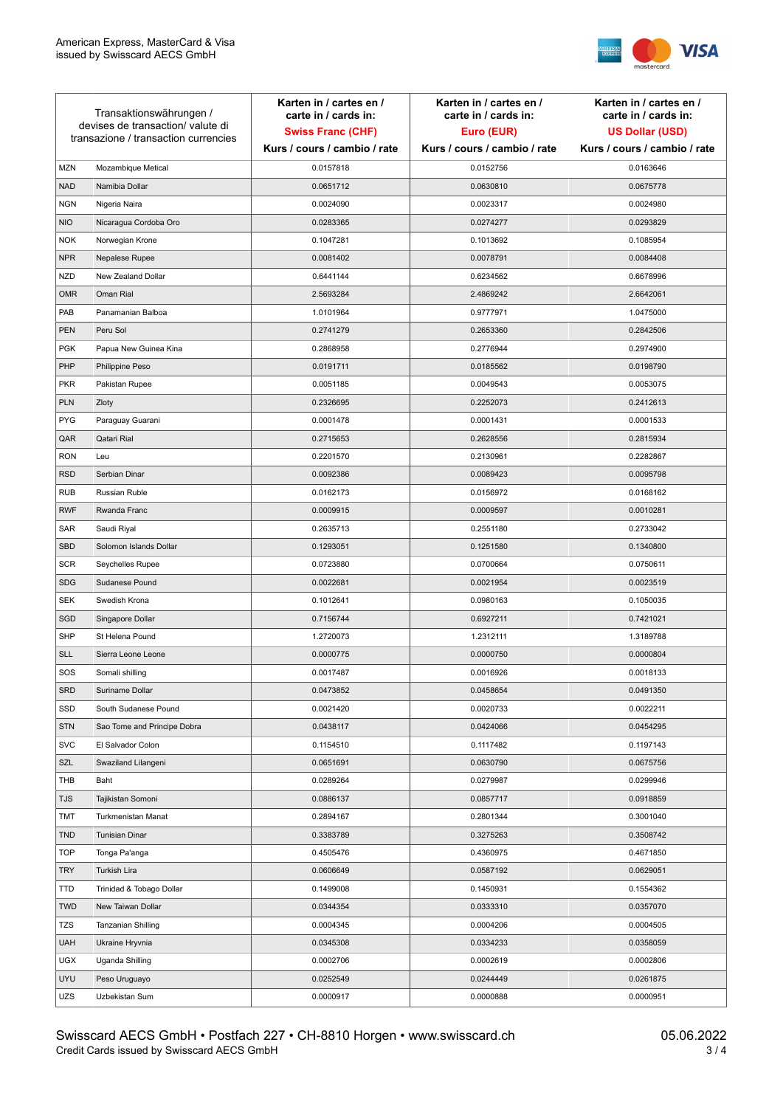

| Transaktionswährungen /<br>devises de transaction/valute di<br>transazione / transaction currencies |                             | Karten in / cartes en /<br>carte in / cards in:<br><b>Swiss Franc (CHF)</b><br>Kurs / cours / cambio / rate | Karten in / cartes en /<br>carte in / cards in:<br>Euro (EUR)<br>Kurs / cours / cambio / rate | Karten in / cartes en /<br>carte in / cards in:<br><b>US Dollar (USD)</b><br>Kurs / cours / cambio / rate |
|-----------------------------------------------------------------------------------------------------|-----------------------------|-------------------------------------------------------------------------------------------------------------|-----------------------------------------------------------------------------------------------|-----------------------------------------------------------------------------------------------------------|
|                                                                                                     |                             |                                                                                                             |                                                                                               |                                                                                                           |
| <b>MZN</b>                                                                                          | Mozambique Metical          | 0.0157818                                                                                                   | 0.0152756                                                                                     | 0.0163646                                                                                                 |
| <b>NAD</b>                                                                                          | Namibia Dollar              | 0.0651712                                                                                                   | 0.0630810                                                                                     | 0.0675778                                                                                                 |
| <b>NGN</b>                                                                                          | Nigeria Naira               | 0.0024090                                                                                                   | 0.0023317                                                                                     | 0.0024980                                                                                                 |
| <b>NIO</b>                                                                                          | Nicaragua Cordoba Oro       | 0.0283365                                                                                                   | 0.0274277                                                                                     | 0.0293829                                                                                                 |
| <b>NOK</b>                                                                                          | Norwegian Krone             | 0.1047281                                                                                                   | 0.1013692                                                                                     | 0.1085954                                                                                                 |
| <b>NPR</b>                                                                                          | Nepalese Rupee              | 0.0081402                                                                                                   | 0.0078791                                                                                     | 0.0084408                                                                                                 |
| <b>NZD</b>                                                                                          | New Zealand Dollar          | 0.6441144                                                                                                   | 0.6234562                                                                                     | 0.6678996                                                                                                 |
| <b>OMR</b>                                                                                          | Oman Rial                   | 2.5693284                                                                                                   | 2.4869242                                                                                     | 2.6642061                                                                                                 |
| PAB                                                                                                 | Panamanian Balboa           | 1.0101964                                                                                                   | 0.9777971                                                                                     | 1.0475000                                                                                                 |
| <b>PEN</b>                                                                                          | Peru Sol                    | 0.2741279                                                                                                   | 0.2653360                                                                                     | 0.2842506                                                                                                 |
| <b>PGK</b>                                                                                          | Papua New Guinea Kina       | 0.2868958                                                                                                   | 0.2776944                                                                                     | 0.2974900                                                                                                 |
| PHP                                                                                                 | Philippine Peso             | 0.0191711                                                                                                   | 0.0185562                                                                                     | 0.0198790                                                                                                 |
| <b>PKR</b>                                                                                          | Pakistan Rupee              | 0.0051185                                                                                                   | 0.0049543                                                                                     | 0.0053075                                                                                                 |
| <b>PLN</b>                                                                                          | Zloty                       | 0.2326695                                                                                                   | 0.2252073                                                                                     | 0.2412613                                                                                                 |
| <b>PYG</b>                                                                                          | Paraguay Guarani            | 0.0001478                                                                                                   | 0.0001431                                                                                     | 0.0001533                                                                                                 |
| QAR                                                                                                 | Qatari Rial                 | 0.2715653                                                                                                   | 0.2628556                                                                                     | 0.2815934                                                                                                 |
| <b>RON</b>                                                                                          | Leu                         | 0.2201570                                                                                                   | 0.2130961                                                                                     | 0.2282867                                                                                                 |
| <b>RSD</b>                                                                                          | Serbian Dinar               | 0.0092386                                                                                                   | 0.0089423                                                                                     | 0.0095798                                                                                                 |
| <b>RUB</b>                                                                                          | Russian Ruble               | 0.0162173                                                                                                   | 0.0156972                                                                                     | 0.0168162                                                                                                 |
| <b>RWF</b>                                                                                          | Rwanda Franc                | 0.0009915                                                                                                   | 0.0009597                                                                                     | 0.0010281                                                                                                 |
| SAR                                                                                                 | Saudi Riyal                 | 0.2635713                                                                                                   | 0.2551180                                                                                     | 0.2733042                                                                                                 |
| <b>SBD</b>                                                                                          | Solomon Islands Dollar      | 0.1293051                                                                                                   | 0.1251580                                                                                     | 0.1340800                                                                                                 |
| <b>SCR</b>                                                                                          | Seychelles Rupee            | 0.0723880                                                                                                   | 0.0700664                                                                                     | 0.0750611                                                                                                 |
| <b>SDG</b>                                                                                          | Sudanese Pound              | 0.0022681                                                                                                   | 0.0021954                                                                                     | 0.0023519                                                                                                 |
| <b>SEK</b>                                                                                          | Swedish Krona               | 0.1012641                                                                                                   | 0.0980163                                                                                     | 0.1050035                                                                                                 |
| SGD                                                                                                 | Singapore Dollar            | 0.7156744                                                                                                   | 0.6927211                                                                                     | 0.7421021                                                                                                 |
| <b>SHP</b>                                                                                          | St Helena Pound             | 1.2720073                                                                                                   | 1.2312111                                                                                     | 1.3189788                                                                                                 |
| <b>SLL</b>                                                                                          | Sierra Leone Leone          | 0.0000775                                                                                                   | 0.0000750                                                                                     | 0.0000804                                                                                                 |
| SOS                                                                                                 | Somali shilling             | 0.0017487                                                                                                   | 0.0016926                                                                                     | 0.0018133                                                                                                 |
| SRD                                                                                                 | Suriname Dollar             | 0.0473852                                                                                                   | 0.0458654                                                                                     | 0.0491350                                                                                                 |
| SSD                                                                                                 | South Sudanese Pound        | 0.0021420                                                                                                   | 0.0020733                                                                                     | 0.0022211                                                                                                 |
| <b>STN</b>                                                                                          | Sao Tome and Principe Dobra | 0.0438117                                                                                                   | 0.0424066                                                                                     | 0.0454295                                                                                                 |
| <b>SVC</b>                                                                                          | El Salvador Colon           | 0.1154510                                                                                                   | 0.1117482                                                                                     | 0.1197143                                                                                                 |
| SZL                                                                                                 | Swaziland Lilangeni         | 0.0651691                                                                                                   | 0.0630790                                                                                     | 0.0675756                                                                                                 |
| THB                                                                                                 | Baht                        | 0.0289264                                                                                                   | 0.0279987                                                                                     | 0.0299946                                                                                                 |
| TJS                                                                                                 | Tajikistan Somoni           | 0.0886137                                                                                                   | 0.0857717                                                                                     | 0.0918859                                                                                                 |
| <b>TMT</b>                                                                                          | Turkmenistan Manat          | 0.2894167                                                                                                   | 0.2801344                                                                                     | 0.3001040                                                                                                 |
| <b>TND</b>                                                                                          | <b>Tunisian Dinar</b>       | 0.3383789                                                                                                   | 0.3275263                                                                                     | 0.3508742                                                                                                 |
| <b>TOP</b>                                                                                          | Tonga Pa'anga               | 0.4505476                                                                                                   | 0.4360975                                                                                     | 0.4671850                                                                                                 |
| <b>TRY</b>                                                                                          | Turkish Lira                | 0.0606649                                                                                                   | 0.0587192                                                                                     | 0.0629051                                                                                                 |
| TTD                                                                                                 | Trinidad & Tobago Dollar    | 0.1499008                                                                                                   | 0.1450931                                                                                     | 0.1554362                                                                                                 |
| <b>TWD</b>                                                                                          | New Taiwan Dollar           | 0.0344354                                                                                                   | 0.0333310                                                                                     | 0.0357070                                                                                                 |
| <b>TZS</b>                                                                                          | Tanzanian Shilling          | 0.0004345                                                                                                   | 0.0004206                                                                                     | 0.0004505                                                                                                 |
| <b>UAH</b>                                                                                          | Ukraine Hryvnia             | 0.0345308                                                                                                   | 0.0334233                                                                                     | 0.0358059                                                                                                 |
| <b>UGX</b>                                                                                          | Uganda Shilling             | 0.0002706                                                                                                   | 0.0002619                                                                                     | 0.0002806                                                                                                 |
| <b>UYU</b>                                                                                          | Peso Uruguayo               | 0.0252549                                                                                                   | 0.0244449                                                                                     | 0.0261875                                                                                                 |
| UZS                                                                                                 | Uzbekistan Sum              | 0.0000917                                                                                                   | 0.0000888                                                                                     | 0.0000951                                                                                                 |